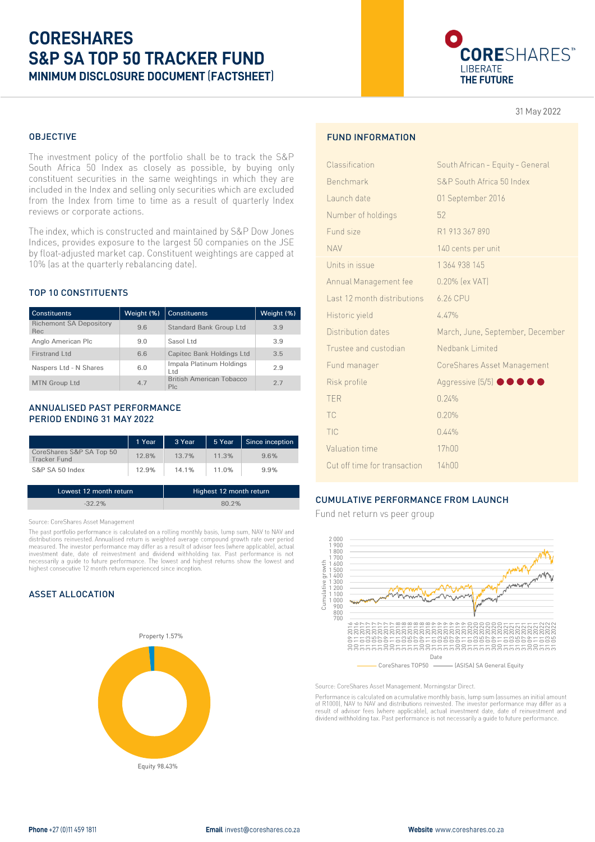# **CORESHARES S&P SA TOP 50 TRACKER FUND** MINIMUM DISCLOSURE DOCUMENT (FACTSHEET)



31 May 2022

## OBJECTIVE

The investment policy of the portfolio shall be to track the S&P South Africa 50 Index as closely as possible, by buying only constituent securities in the same weightings in which they are included in the Index and selling only securities which are excluded from the Index from time to time as a result of quarterly Index reviews or corporate actions.

The index, which is constructed and maintained by S&P Dow Jones Indices, provides exposure to the largest 50 companies on the JSE by float-adjusted market cap. Constituent weightings are capped at 10% (as at the quarterly rebalancing date).

#### TOP 10 CONSTITUENTS

| <b>Constituents</b>                   | Weight (%) | <b>Constituents</b>                    | Weight (%) |
|---------------------------------------|------------|----------------------------------------|------------|
| <b>Richemont SA Depository</b><br>Rec | 9.6        | Standard Bank Group Ltd                | 3.9        |
| Anglo American Plc                    | 9.0        | Sasol Ltd                              | 3.9        |
| Firstrand Ltd                         | 6.6        | Capitec Bank Holdings Ltd              | 3.5        |
| Naspers Ltd - N Shares                | 6.0        | Impala Platinum Holdings<br>Ltd.       | 2.9        |
| <b>MTN Group Ltd</b>                  | 4.7        | <b>British American Tobacco</b><br>Plc | 27         |

#### ANNUALISED PAST PERFORMANCE PERIOD ENDING 31 MAY 2022

|                                          | 1 Year | 3 Year | 5 Year | Since inception |
|------------------------------------------|--------|--------|--------|-----------------|
| CoreShares S&P SA Top 50<br>Tracker Fund | 12.8%  | 13.7%  | 11.3%  | 9.6%            |
| S&P SA 50 Index                          | 12.9%  | 14.1%  | 11.0%  | 9.9%            |

| Lowest 12 month return | Highest 12 month return |
|------------------------|-------------------------|
| $-32.2\%$              | $80.2\%$                |

#### Source: CoreShares Asset Management

Source: occurse of the past performance is calculated on a rolling monthly basis, lump sum, NAV to NAV and<br>The past portfolio performance is calculated on a rolling monthly basis, lump sum, NAV to NAV and<br>distributions rei necessarily a guide to future performance. The lowest and highest returns show the lowest and highest consecutive 12 month return experienced since inception.

#### ASSET ALLOCATION



# FUND INFORMATION

| Classification               | South African - Equity - General |
|------------------------------|----------------------------------|
| Benchmark                    | S&P South Africa 50 Index        |
| Launch date                  | 01 September 2016                |
| Number of holdings           | 52                               |
| Fund size                    | R1913367890                      |
| <b>NAV</b>                   | 140 cents per unit               |
| Units in issue               | 1 364 938 145                    |
| Annual Management fee        | 0.20% (ex VAT)                   |
| Last 12 month distributions  | 6.26 CPU                         |
| Historic yield               | 4.47%                            |
| Distribution dates           | March, June, September, December |
| Trustee and custodian        | Nedbank Limited                  |
| Fund manager                 | CoreShares Asset Management      |
| Risk profile                 | Aggressive (5/5) ● ● ● ● ●       |
| <b>TER</b>                   | 0.24%                            |
| TC                           | 0.20%                            |
| TIC                          | 0.44%                            |
| Valuation time               | 17h00                            |
| Cut off time for transaction | 14h00                            |
|                              |                                  |

## CUMULATIVE PERFORMANCE FROM LAUNCH

Fund net return vs peer group



Source: CoreShares Asset Management. Morningstar Direct. Performance is calculated on acumulative monthly basis, lump sum (assumes an initial amount For R1000), NAV to NAV and distributions reinvested. The investor performance may differ as a result of advisor fees (where applicable), actual investment date, date of reinvestment and dividend withholding tax. Past perfo